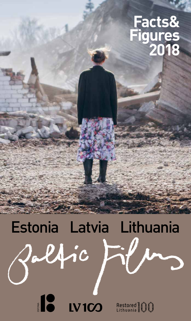### **Facts& Figures 2018**

# Estonia Latvia LithuaniaDelfic

**LV100** Restored (1)

**STORE OF A STRONG POWER**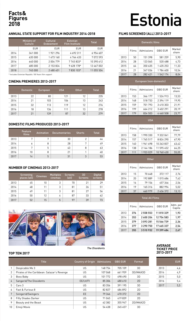### **Figures 2018**

#### **ANNUAL STATE SUPPORT FOR FILM INDUSTRY 2014-2018**

|      | Ministry of<br><b>Culture</b> | Cultural<br>Endowment | <b>Estonian</b><br><b>Film Institute</b> | Total      |
|------|-------------------------------|-----------------------|------------------------------------------|------------|
|      | <b>EUR</b>                    | <b>EUR</b>            | EUR                                      | <b>EUR</b> |
| 2014 | 341 000                       | 1921296               | 4692311                                  | 6954607    |
| 2015 | 635 000                       | 1 673 160             | 4 764 433                                | 7072593    |
| 2016 | 640 000                       | 2004779               | 7745833*                                 | 10 390 612 |
| 2017 | 685 000                       | 2 153 824             | 9 628 178*                               | 12 467 002 |
| 2018 | 745 000                       | 2 480 401             | 7830 103*                                | 11 055 504 |

\* Includes Estonian Republic 100 Years film support

#### **CINEMA PREMIERES 2013-2017**

|      | <b>Domestic</b> | <b>European</b> | <b>USA</b> | <b>Other</b> | <b>Total</b> |
|------|-----------------|-----------------|------------|--------------|--------------|
| 2013 | 22              | 80              | 121        | 12           | 235          |
| 2014 | 21              | 103             | 106        | 13           | 243          |
| 2015 | 32              | 113             | 119        | 12           | 276          |
| 2016 | 18              | 136             | 111        | 13           | 278          |
| 2017 | 21              | 139             | 87         | 32           | 279          |

#### **DOMESTIC FILMS PRODUCED 2013-2017**

|      | Feature<br>films | Animation | <b>Documentaries</b> | <b>Shorts</b> | <b>Total</b> |
|------|------------------|-----------|----------------------|---------------|--------------|
| 2013 | 7                | π         | 30                   | $\mathcal{P}$ |              |
| 2014 | 6                | 8         | 28                   | 7             | 49           |
| 2015 | 7                | 5         | 43                   | 8             | 63           |
| 2016 | 10               | 8         | 21                   |               | 40           |
| 2017 | 14               | 5         | 31                   | 3             | 53           |

#### **NUMBER OF CINEMAS 2013-2017**

|      | Screening<br>places (all) | <b>Cinemas</b> | <b>Multiplex</b><br>cinemas | <b>Screens</b><br>(all) | 3D<br><b>Screens</b> | <b>Digital</b><br>screens |
|------|---------------------------|----------------|-----------------------------|-------------------------|----------------------|---------------------------|
| 2013 | 45                        | 10             | 3                           | 70                      | 21                   | 29                        |
| 2014 | 48                        | 11             | 3                           | 81                      | 26                   | 51                        |
| 2015 | 49                        | 11             | 3                           | 81                      | 27                   | 56                        |
| 2016 | 50                        | 12             | 4                           | 87                      | 33                   | 62                        |
| 2017 | 52                        | 15             | 5                           | 97                      | 39                   | 73                        |



#### 2015 64 350 635 1 435 253 11,33 2016 21 347 036 1 784 600 10,54 2017 28 282 421 1 542 174 8,04 European (non-domestic)

|              | Films | Admissions             | <b>GBO EUR</b> | Market<br>share    |  |  |
|--------------|-------|------------------------|----------------|--------------------|--|--|
| 2013         | 153   | 346 177                | 1524913        | 13,53              |  |  |
| 2014         | 148   | 518733                 | 2394119        | 19,95              |  |  |
| 2015         | 159   | 701 793                | 3 410 303      | 21,91              |  |  |
| 2016         | 199   | 664 212                | 3 402 291      | 20,19              |  |  |
| 2017         | 179   | 834 503                | 4 460 508      | 23,77              |  |  |
|              |       | <b>USA</b>             |                |                    |  |  |
|              | Films | Admissions             | <b>GBO EUR</b> | Market<br>share    |  |  |
| 2013         | 158   | 1 990 330              | 9 332 041      | 77,79              |  |  |
| 2014         | 157   | 1765517                | 8824290        | 67,90              |  |  |
| 2015         | 140   | 1961698                | 10 263 837     | 63,42              |  |  |
| 2016         | 138   | 2 144 186              | 11 595 452     | 64,25              |  |  |
| 2017         | 111   | 1933029                | 10 760 430     | 55,05              |  |  |
| <b>Other</b> |       |                        |                |                    |  |  |
|              |       |                        |                |                    |  |  |
|              | Films | Admissions             | <b>GBO EUR</b> | Market<br>share    |  |  |
| 2013         | 15    | 70 648                 | 372 117        | 2,76               |  |  |
| 2014         | 20    | 192 889                | 1015686        | 7,42               |  |  |
| 2015         | 16    | 79 156                 | 457346         | 2,56               |  |  |
| 2016         | 19    | 165 316                | 882 994        | 5,02               |  |  |
| 2017         | 37    | 460 979                | 2 636 372      | 13,13              |  |  |
|              |       | <b>Total All Films</b> |                |                    |  |  |
|              | Films | Admissions             | <b>GBO EUR</b> | Adm. per<br>Capita |  |  |
| 2013         | 376   | 2558553                | 11810329       | 1,93               |  |  |
| 2014         | 353   | 2 600 204              | 12 754 583     | 1,97               |  |  |
| 2015         | 379   | 3093281                | 15 566 739     | 2,36               |  |  |

2017 355 3 510 932 19 399 484 2,67

#### **AVERAGE TICKET PRICE 2013-2017**

|      | EUR |
|------|-----|
| 2013 | 4.6 |
| 2014 | 4.9 |
| 2015 | 5.0 |
| 2016 | 5.4 |
| 2017 | 5.5 |

#### **TOP TEN 2017**

|                | <b>Title</b>                                | <b>Country of Origin</b> | Admissions | <b>GBO EUR</b> | Format    |
|----------------|---------------------------------------------|--------------------------|------------|----------------|-----------|
|                | Despicable Me 3                             | US                       | 148 754    | 705 109        | 3D        |
| $\overline{2}$ | Pirates of the Caribbean: Salazar's Revenge | US                       | 107 068    | 661959         | 3D/IMAX3D |
| 3              | Boss Baby                                   | US                       | 101 772    | 498 490        | 3D        |
| 4              | Sangarid/The Dissidents                     | EE/LV/FI                 | 85 30 6    | 480 610        | 2D        |
| 5              | Cars 3                                      | US                       | 83 356     | 391 195        | 3D        |
| 6              | Fast & Furious 8                            | US                       | 82827      | 484892         | 2D        |
| 7              | Svingerid/Swingers                          | EE                       | 79 346     | 470 372        | 2D        |
| 8              | <b>Fifty Shades Darker</b>                  | US                       | 71 045     | 419839         | 2D        |
| 9              | Beauty and the Beast                        | US                       | 62 382     | 355 947        | 2D/IMAX2D |
| 10             | Emoji Movie                                 | US                       | 54 438     | 245457         | 3D        |

## Facts&<br>Figures<br>2018

#### **FILMS SCREENED (all) 2013-2017**

Domestic films

2013 50 151 398 581 259 5,90 2014 28 123 065 520 488 4,73

Films Admissions GBO EUR Market

share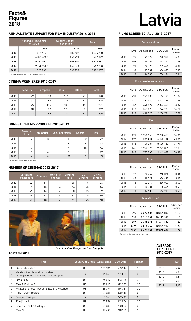### **Figures 2018**

#### **ANNUAL STATE SUPPORT FOR FILM INDUSTRY 2014-2018**

|      | <b>National Film Centre</b><br>of Latvia | <b>Culture Capital</b><br><b>Foundation</b> | <b>Total</b> |  |
|------|------------------------------------------|---------------------------------------------|--------------|--|
|      | <b>EUR</b>                               | <b>EUR</b>                                  | <b>EUR</b>   |  |
| 2014 | 3517121                                  | 789 609                                     | 4 306 730    |  |
| 2015 | 4891600*                                 | 856 229                                     | 5747829      |  |
| 2016 | 5 862 587*                               | 907800                                      | 6770387      |  |
| 2017 | 9795965*                                 | 666 273                                     | 10 462 238   |  |
| 2018 | 5455699                                  | 736 938                                     | 6 192 637    |  |

\*Includes Latvian Republic 100 Years film support

#### **CINEMA PREMIERES 2013-2017**

|      | <b>Domestic</b> | European | <b>USA</b> | <b>Other</b> | <b>Total</b> |
|------|-----------------|----------|------------|--------------|--------------|
| 2013 | 27              | 50       | 116        | 27           | 220          |
| 2014 | 51              | 66       | 89         | 13           | 219          |
| 2015 | 25              | 116      | 133        | 16           | 291          |
| 2016 | 18              | 92       | 123        | 9            | 242          |
| 2017 | 22              | 99       | 122        | 12           | 255          |

#### **DOMESTIC FILMS PRODUCED 2013-2017**

|      | Feature<br>films | Animation | <b>Documentaries</b> | <b>Shorts</b> | <b>Total</b> |
|------|------------------|-----------|----------------------|---------------|--------------|
| 2013 | 4                | 3         | 18                   | っ             | 27           |
| 2014 | 7*               |           | 30                   | 4             | 52           |
| 2015 | 3                |           | 23                   | 16            | 56           |
| 2016 | 7                | 6         | 23                   | 6             | 42           |
| 2017 | b                | 8         | 29                   | C             | 45           |

\* 2 feature length animated films

#### **NUMBER OF CINEMAS 2013-2017**

|      | Screening<br>places (all) | Cinemas, | <b>Multiplex</b><br>cinemas | <b>Screens</b><br>(all) | 3D<br><b>Screens</b> | <b>Digital</b><br>screens, |
|------|---------------------------|----------|-----------------------------|-------------------------|----------------------|----------------------------|
| 2013 | 32                        | 14       | 4                           | 66                      | 15                   | 36                         |
| 2014 | 29                        | 15       | 4                           | 64                      | 25                   | 44                         |
| 2015 | 22                        | 16       | 4                           | 58                      | 25                   | 57                         |
| 2016 | 25                        | 18       | 4                           | 62                      | 25                   | 60                         |
| 2017 | 23                        | 18       | 4                           | 61                      | 25                   | 60                         |



#### **TOP TEN 2017**

|                | <b>Title</b>                                                              | <b>Country of Origin</b> | Admissions | <b>GBO EUR</b> | Format. |
|----------------|---------------------------------------------------------------------------|--------------------------|------------|----------------|---------|
|                | Despicable Me 3                                                           | US                       | 128 336    | 603 914        | 3D      |
| $\overline{2}$ | Vectēvs, kas bīstamāks par datoru<br>Grandpa More Dangerous than Computer | LV                       | 76 068     | 281 030        | 2D      |
| 3              | Boss Baby                                                                 | US                       | 76 017     | 383 765        | 3D      |
| 4              | Fast & Furious 8                                                          | US                       | 72813      | 429 530        | 2D      |
| 5              | Pirates of the Caribbean: Salazar's Revenge                               | US                       | 69 774     | 394 311        | 3D      |
| 6              | <b>Fifty Shades Darker</b>                                                | US                       | 63 631     | 370 715        | 2D      |
| 7              | Svingeri/Swingers                                                         | LV                       | 58 560     | 277 648        | 2D      |
| 8              | Emoji Movie                                                               | US                       | 52 576     | 242 504        | 3D      |
| 9              | Smurfs: The Lost Village                                                  | US                       | 51 038     | 230 803        | 3D      |
| 10             | Cars 3                                                                    | US                       | 46 494     | 218 789        | 3D      |

## Facts&<br>Figures<br>2018

#### **FILMS SCREENED (all) 2013-2017**

| <b>Domestic films</b>   |       |            |                |                 |
|-------------------------|-------|------------|----------------|-----------------|
|                         | Films | Admissions | <b>GBO EUR</b> | Market<br>share |
| 2013                    | 97    | 143 379    | 228 368        | 6,03            |
| 2014                    | 109   | 175 207    | 443717         | 7,58            |
| 2015                    | 91    | 90 1 28    | 239 465        | 3,81            |
| 2016                    | 33    | 185 782    | 656 670        | 7.38            |
| 2017                    | 28    | 194 083    | 736 976        | 7,84            |
| European (non-domestic) |       |            |                |                 |

|      | Films | Admissions   | <b>GBO EUR</b> | Market<br>share |
|------|-------|--------------|----------------|-----------------|
| 2013 | 231   | 267 900      | 1 114 170      | 11,27           |
| 2014 | 210   | 493 570      | 2 201 469      | 21,36           |
| 2015 | 257   | 446894       | 2022661        | 18,87           |
| 2016 | 117   | 357 470      | 1724778        | 14,21           |
| 2017 | 112   | 438 725      | 2 238 726      | 17,71           |
|      |       | <b>USA</b>   |                |                 |
|      | Films | Admissions   | <b>GBO EUR</b> | Market<br>share |
| 2013 | 191   | 1768158      | 7998473        | 74,36           |
| 2014 | 170   | 1 503 833    | 6845648        | 65,07           |
| 2015 | 165   | 1769337      | 8 690 753      | 74.71           |
| 2016 | 146   | 1962126      | 9777866        | 77,98           |
| 2017 | 142   | 1757963      | 9 469 882      | 70,97           |
|      |       | <b>Other</b> |                |                 |
|      | Films | Admissions   | <b>GBO EUR</b> | Market<br>share |
| າ∩1າ | 77    | 100 7/0      | 040 074        | 0.21            |

|      | Films | Admissions | GBO FUR | share |
|------|-------|------------|---------|-------|
| 2013 | 77    | 198 249    | 968874  | 8,34  |
| 2014 | 47    | 138 521    | 686 497 | 5.99  |
| 2015 | 45    | 62019      | 289 007 | 2,62  |
| 2016 | 13    | 10881      | 50 40 6 | 0,43  |
| 2017 | 13    | 86 180     | 414 913 | 3,48  |
|      |       |            |         |       |

|      | <b>Total All Films</b> |               |                |                    |
|------|------------------------|---------------|----------------|--------------------|
|      | Films                  | Admissions    | <b>GBO EUR</b> | Adm. per<br>Capita |
| 2013 | 596                    | 2377686       | 10 309 885     | 1,18               |
| 2014 | 536                    | 2311131       | 10 177 331     | 1,16               |
| 2015 | 557                    | 2 3 6 8 3 7 8 | 11 241 887     | 1,20               |
| 2016 | $309*$                 | 2516259       | 12 209 719     | 1,28               |
| 2017 | $295*$                 | 2476951       | 12860497       | 1,27               |

\* Excluding film festival screenings

#### **AVERAGE TICKET PRICE 2013-2017**

|      | EUR  |
|------|------|
| 2013 | 4.42 |
| 2014 | 4,64 |
| 2015 | 4.81 |
| 2016 | 4,85 |
| 2017 | 5,19 |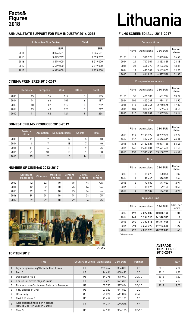### **Figures 2018**

#### **ANNUAL STATE SUPPORT FOR FILM INDUSTRY 2014-2018**

|      | Lithuanian Film Centre | <b>Total</b>  |
|------|------------------------|---------------|
|      | <b>EUR</b>             | <b>EUR</b>    |
| 2014 | 3 0 2 4 5 0 1          | 3 0 2 4 5 0 1 |
| 2015 | 3073737                | 3 0 7 3 7 3 7 |
| 2016 | 3519000                | 3 519 000     |
| 2017 | 4619000                | 4619000       |
| 2018 | 6 423 000              | 6 423 000     |

#### **CINEMA PREMIERES 2013-2017**

|      | <b>Domestic</b> | European | <b>USA</b> | <b>Other</b> | <b>Total</b> |
|------|-----------------|----------|------------|--------------|--------------|
| 2013 | 15              | 56       | 119        | 5            | 195          |
| 2014 | 14              | 66       | 101        | 6            | 187          |
| 2015 | 10              | 82       | 112        | 8            | 212          |
| 2016 | 13              | 69       | 128        | 7            | 217          |
| 2017 | 11              | 92       | 124        | 9            | 236          |

#### **DOMESTIC FILMS PRODUCED 2013-2017**

|      | Feature<br>films | Animation    | <b>Documentaries</b> | <b>Shorts</b> | <b>Total</b> |
|------|------------------|--------------|----------------------|---------------|--------------|
| 2013 |                  | $\mathbf{a}$ | 17                   | 5             | 40           |
| 2014 | 8                | 7            | 18                   | 7             | 40           |
| 2015 | 11               | 4            | 11                   | 9             | 35           |
| 2016 | 21               | 10           | 18                   | 9             | 58           |
| 2017 | 15               | $\mathbf{r}$ | 5                    | 14            | 41           |

#### **NUMBER OF CINEMAS 2013-2017**

|      | Screening<br>places (all) | <b>Cinemas</b> | <b>Multiplex</b><br>cinemas | <b>Screens</b><br>(all) | <b>Digital</b><br>screens | 3D<br>screens |
|------|---------------------------|----------------|-----------------------------|-------------------------|---------------------------|---------------|
| 2013 | 42                        | 32             | 10                          | 95                      | 44                        | n/a           |
| 2014 | 42                        | 32             | 10                          | 95                      | 44                        | n/a           |
| 2015 | 42                        | 32             | 10                          | 95                      | 44                        | n/a           |
| 2016 | 39                        | 29             | 10                          | 79                      | 54                        | 25            |
| 2017 | 39                        | 29             | 10                          | 79                      | 54                        | 25            |



Emilia

Ī

#### **TOP TEN 2017**

|                | <b>Title</b>                                                       | <b>Country of Origin Admissions</b> |         | <b>GBO EUR</b> | Format |
|----------------|--------------------------------------------------------------------|-------------------------------------|---------|----------------|--------|
|                | Trys milijonai euru/Three Million Euros                            | LT                                  | 235 667 | 1 304 887      | 2D     |
| $\overline{2}$ | Zero 3                                                             | LT                                  | 194 486 | 1 008 470      | 2D     |
| 3              | Despicable Me 3                                                    | US                                  | 184 398 | 878 047        | 2D/3D  |
| 4              | Emilija iš Laisvės alėjos/Emilia                                   | LT                                  | 123 228 | 577 309        | 2D     |
| 5              | Pirates of the Caribbean: Salazar's Revenge                        | US                                  | 105 755 | 597844         | 2D/3D  |
| 6              | Fifty Shades of Grey                                               | US                                  | 103 020 | 541863         | 2D     |
| 7              | Boss Baby                                                          | US                                  | 99891   | 441834         | 2D/3D  |
| 8              | Fast & Furious 8                                                   | US.                                 | 97457   | 501 105        | 2D     |
| 9              | Kaip susigrąžinti ją per 7 dienas<br>How to Get Her Back in 7 Days | LT                                  | 89 616  | 465 368        | 2D     |
| 10             | Cars 3                                                             | US                                  | 74 989  | 336 135        | 2D/3D  |

## Facts&<br>Figures<br>2018 **Lithuania**

#### **FILMS SCREENED (all) 2013-2017**

|                  |       | <b>Domestic films</b>   |                |                    |
|------------------|-------|-------------------------|----------------|--------------------|
|                  | Films | Admissions              | <b>GBO EUR</b> | Market<br>share    |
| 2013*            | 17    | 510 924                 | 2045844        | 16,49              |
| 2014             | 21    | 747 001                 | 3 333 829      | 23,18              |
| 2015             | 21    | 465 370                 | 2 126 232      | 13,81              |
| 2016             | 17    | 699 207                 | 3 463 809      | 19,50              |
| 2017             | 13    | 861827                  | 4527528        | 21,47              |
|                  |       | European (non-domestic) |                |                    |
|                  | Films | Admissions              | <b>GBO EUR</b> | Market<br>share    |
| 2013*            | 56    | 409 504                 | 1631716        | 13,22              |
| 2014             | 104   | 443 269                 | 1994111        | 13,90              |
| 2015             | 118   | 638 345                 | 2740575        | 17,80              |
| 2016             | 104   | 336 493                 | 1509654        | 8,50               |
| 2017             | 110   | 528 081                 | 2 367 564      | 13,16              |
|                  |       | <b>USA</b>              |                |                    |
|                  | Films | Admissions              | <b>GBO EUR</b> | Market<br>share    |
| 2013             | 119   | 2 145 777               | 8709308        | 69,27              |
| 2014             | 130   | 1944680                 | 8 670 077      | 60,28              |
| 2015             | 135   | 2 132 821               | 10 077 136     | 65,48              |
| 2016             | 162   | 2 613 001               | 12 671 608     | 71,50              |
| 2017             | 158   | 2593630                 | 13 160 705     | 64,62              |
|                  |       | <b>Other</b>            |                |                    |
|                  | Films | Admissions              | <b>GBO EUR</b> | Market<br>share    |
| 2013             | 5     | 31 478                  | 120 006        | 1,02               |
| 2014             | 6     | 99 645                  | 380 570        | 2,64               |
| 2015             | 16    | 93 982                  | 447963         | 2,91               |
| 2016             | 8     | 19576                   | 79 198         | 0,50               |
| 2017             | 9     | 30 387                  | 146 298        | 0,76               |
|                  |       | <b>Total All Films</b>  |                |                    |
|                  | Films | Admissions              | <b>GBO EUR</b> | Adm. per<br>Capita |
| 2013             | 197   | 3097683                 | 10875158       | 1,05               |
| 2014             | 261   | 3 234 595               | 14 378 587     | 1,11               |
| 2015             | 290   | 3 330 518               | 15 391 905     | 1,13               |
| 2016             | 291   | 3668370                 | 17 724 516     | 1,29               |
| 2017             | 290   | 4013925                 | 20 202 095     | 1,43               |
| * Only premieres |       |                         |                |                    |

#### **AVERAGE TICKET PRICE 2013-2017**

|      | EUR  |
|------|------|
| 2013 | 4.04 |
| 2014 | 4.29 |
| 2015 | 4.62 |
| 2016 | 4.83 |
| 2017 | 5.03 |

l.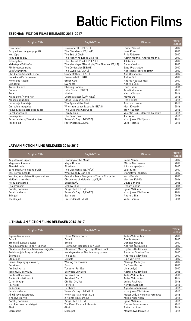## Baltic Fiction Films

#### **ESTONIAN FICTION FILMS RELEASED 2016-2017**

| <b>Original Title</b>        | <b>English Title</b>                        | <b>Director</b>                  | Year of<br><b>Release</b> |
|------------------------------|---------------------------------------------|----------------------------------|---------------------------|
| November                     | November (EE/PL/NL)                         | <b>Rainer Sarnet</b>             | 2017                      |
| Sangarid/Ātrie igauņu puiši  | The Dissidents (EE/LV/FI)                   | Jaak Kilmi                       | 2017                      |
| Keti lõpp                    | The End of Chain                            | Priit Pääsuke                    | 2017                      |
| Minu näoga onu               | The Man Who Looks Like Me                   | Katrin Maimik, Andres Maimik     | 2017                      |
| Ikitie/Igitee                | The Eternal Road (FI/EE/SE)                 | AJ Annila                        | 2017                      |
| Mehetapja/Süütu/Vari         | The Manslayer/The Virgin/The Shadow (EE/LT) | Sulev Keedus                     | 2017                      |
| Pihtimus/Agsareba            | The Confession (EE/GE)                      | Zaza Urushadze                   | 2017                      |
| Luik/Svanurinn               | The Swan (EE/DE/IS)                         | Asa Helga Hjörleifsdottir        | 2017                      |
| Ohtlik ema/Sashishi deda     | Scary Mother (EE/GE)                        | Ana Urushadze                    | 2017                      |
| Kala-kala/Рыба-мечта         | Dreamfish (EE/RU)                           | Anton Bilžo                      | 2017                      |
| Rohelised kassid             | <b>Green Cats</b>                           | Andres Puustusmaa                | 2017                      |
| Svingerid                    | Swingers                                    | Andrejs Ekis                     | 2017                      |
| Ameerika suvi                | <b>Chasing Ponies</b>                       | Rain Rannu                       | 2016                      |
| Bodom                        | Lake Bodom (FI/EE)                          | Taneli Mustonen                  | 2016                      |
| Ema                          | Mother                                      | Kadri Kõusaar                    | 2016                      |
| Kallis õeke/Nong Hak         | Dearest Sister (LA/FR/EE)                   | Mattie Do                        | 2016                      |
| Klassikokkutulek             | Class Reunion (EE/FI)                       | René Vilbre                      | 2016                      |
| Luuraja ja luuletaja         | The Spy and the Poet                        | <b>Toomas Hussar</b>             | 2016                      |
| Onn tuleb magades            | When You Least Expect It (EE/IS)            | Mart Kivastik                    | 2016                      |
| Päevad, mis ajasid segadusse | The Days that Confused                      | <b>Triin Ruumet</b>              | 2016                      |
| Perekonnavaled               | <b>Family Lies</b>                          | Valentin Kuik, Manfred Vainokivi | 2016                      |
| Polaarpoiss                  | The Polar Boy                               | Anu Aun                          | 2016                      |
| Senecos diena/ Seneka päev   | Seneca's Day (LT/LV/EE)                     | Kristijonas Vildžijunas          | 2016                      |
| Teesklejad                   | Pretenders (EE/LV/LT)                       | Vallo Toomla                     | 2016                      |

#### **LATVIAN FICTION FILMS RELEASED 2016-2017**

| <b>Original Title</b>             | <b>English Title</b>                   | <b>Director</b>            | Year of<br>Release |
|-----------------------------------|----------------------------------------|----------------------------|--------------------|
| Ar putām uz lūpām                 | Foaming at the Mouth                   | Jānis Nords                | 2017               |
| Maģiskais kimono                  | Magic Kimono                           | Mārtis Martinsons          | 2017               |
| Pirmdzimtais                      | Firstborn                              | Aiks Karapetjans           | 2017               |
| Sangarid/Ātrie igauņu puiši       | The Dissidents (EE/FI/LV)              | Jaak Kilmi                 | 2017               |
| Tas, ko vini neredz               | What Nobody Can See                    | <b>Stanislavs Tokalovs</b> | 2017               |
| Vectēvs, kas bīstamāks par datoru | Grandpa More Dangerous Than a Computer | Varis Brasla               | 2017               |
| Melānijas hronikas                | Chronicles of Melanie (LV/CZ/FI)       | Viesturs Kairišs           | 2016               |
| Pelnu sanatorija                  | Exiled (LV/LT)                         | Dāvis Sīmanis              | 2016               |
| Es esmu šeit                      | Mellow Mud                             | Renārs Vimba               | 2016               |
| Karaliu pamaina                   | Kings Shift (LT/LV)                    | Ignas Miškinis             | 2016               |
| Senekos diena                     | Seneca's Day (LT/LV/EE)                | Kristijonas Vildžiunas     | 2016               |
| Svingeri                          | Swingers                               | Andrejs Ekis               | 2016               |
| Teesklejad                        | Pretenders (EE/LV/LT)                  | Vallo Toomla               | 2016               |

#### **LITHUANIAN FICTION FILMS RELEASED 2016-2017**

| <b>Original Title</b>                   | <b>English Title</b>               | <b>Director</b>                  | Year of<br>Release |
|-----------------------------------------|------------------------------------|----------------------------------|--------------------|
| Trys milijonai eurų                     | <b>Three Million Euros</b>         | <b>Tadas Vidmantas</b>           | 2017               |
| Zero 3                                  | Zero 3                             | Emilis Vėlyvis                   | 2017               |
| Emilija iš Laisvės alėjos               | Emilia                             | Donatas Ulvydas                  | 2017               |
| Kaip susigrąžinti ją per 7 dienas       | How to Get Her Back in 7 Days      | Andrius Žiurauskas               | 2017               |
| Klasės susitikimas: berniukai sugrįžta! | Classroom Meeting: Boys Come Back! | Kestutis Gudavičius              | 2017               |
| Poilsiautojai: Pavydo žaidynės          | Holidaymakers: The Jealousy games  | Simonas Aškelavičius             | 2017               |
| Šventasis                               | The Saint                          | Andrius Blaževičius              | 2017               |
| Stebuklas                               | Miracle                            | Egle Vertelyte                   | 2017               |
| Siena: Tarp Rytų ir Vakarų              | Waiting for Invasion               | Neringa Medutytė                 | 2017               |
| Šerkšnas                                | Frost                              | Šarūnas Bartas                   | 2017               |
| Amžinai kartu                           | Together For Ever                  | Lina Lužytė                      | 2017               |
| Tarp mūsų berniukų                      | Between Our Boys                   | Kęstutis Gudavičius              | 2016               |
| Gautas iškvietimas                      | <b>Received Call</b>               | <b>Tadas Vidmantas</b>           | 2016               |
| Gautas iškvietimas 3                    | Received Call 3                    | <b>Tadas Vidmantas</b>           | 2016               |
| 0, ne! 0, taip!                         | Oh, No! Oh, Yes!                   | Julius Paulikas                  | 2016               |
| Patriotai                               | Patriots                           | Alvydas Šlepikas                 | 2016               |
| 12 kėdžiu                               | 12 chairs                          | Algis Ramanauskas                | 2016               |
| Senekos diena                           | Seneca's Day (LT/LV/EE)            | Kristijonas Vildžiūnas           | 2016               |
| Aš už Tave pakalbėsiu                   | When We Talk About KGB             | Maksi Dežua, Virginija Vareikytė | 2016               |
| 2 naktys iki ryto                       | 2 Nights Till Morning              | Mikko Kuparinen                  | 2016               |
| Karalių pamaina                         | Kings Shift (LT/LV)                | Ignas Miškinis                   | 2016               |
| Nuo Lietuvos nepabėgsi                  | You Can't Escape Lithuania         | Romas Zabarauskas                | 2016               |
| Gitel                                   | Gitel                              | Robert Mullan                    | 2016               |
| Mariupolis                              | Mariupol                           | Mantas Kvedaravičius             | 2016               |